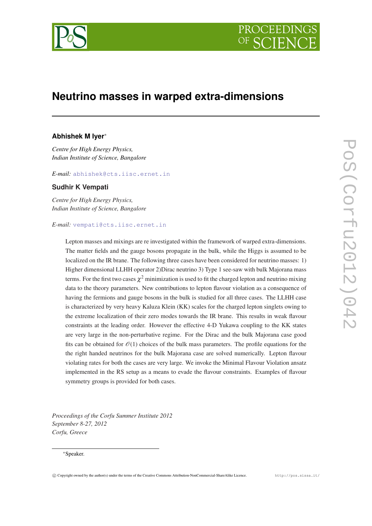



# **Neutrino masses in warped extra-dimensions**

# **Abhishek M Iyer**<sup>∗</sup>

*Centre for High Energy Physics, Indian Institute of Science, Bangalore*

*E-mail:* [abhishek@cts.iisc.ernet.in](mailto:abhishek@cts.iisc.ernet.in)

# **Sudhir K Vempati**

*Centre for High Energy Physics, Indian Institute of Science, Bangalore*

#### *E-mail:* [vempati@cts.iisc.ernet.in](mailto:vempati@cts.iisc.ernet.in)

Lepton masses and mixings are re investigated within the framework of warped extra-dimensions. The matter fields and the gauge bosons propagate in the bulk, while the Higgs is assumed to be localized on the IR brane. The following three cases have been considered for neutrino masses: 1) Higher dimensional LLHH operator 2)Dirac neutrino 3) Type 1 see-saw with bulk Majorana mass terms. For the first two cases  $\chi^2$  minimization is used to fit the charged lepton and neutrino mixing data to the theory parameters. New contributions to lepton flavour violation as a consequence of having the fermions and gauge bosons in the bulk is studied for all three cases. The LLHH case is characterized by very heavy Kaluza Klein (KK) scales for the charged lepton singlets owing to the extreme localization of their zero modes towards the IR brane. This results in weak flavour constraints at the leading order. However the effective 4-D Yukawa coupling to the KK states are very large in the non-perturbative regime. For the Dirac and the bulk Majorana case good fits can be obtained for  $\mathcal{O}(1)$  choices of the bulk mass parameters. The profile equations for the the right handed neutrinos for the bulk Majorana case are solved numerically. Lepton flavour violating rates for both the cases are very large. We invoke the Minimal Flavour Violation ansatz implemented in the RS setup as a means to evade the flavour constraints. Examples of flavour symmetry groups is provided for both cases.

*Proceedings of the Corfu Summer Institute 2012 September 8-27, 2012 Corfu, Greece*

#### <sup>∗</sup>Speaker.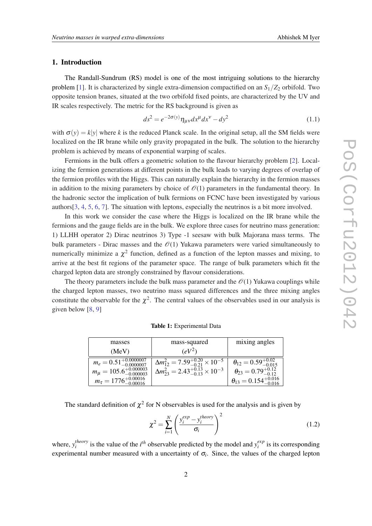# <span id="page-1-0"></span>1. Introduction

The Randall-Sundrum (RS) model is one of the most intriguing solutions to the hierarchy problem [\[1](#page-12-0)]. It is characterized by single extra-dimension compactified on an  $S_1/Z_2$  orbifold. Two opposite tension branes, situated at the two orbifold fixed points, are characterized by the UV and IR scales respectively. The metric for the RS background is given as

$$
ds^2 = e^{-2\sigma(y)} \eta_{\mu\nu} dx^{\mu} dx^{\nu} - dy^2 \tag{1.1}
$$

with  $\sigma(y) = k|y|$  where k is the reduced Planck scale. In the original setup, all the SM fields were localized on the IR brane while only gravity propagated in the bulk. The solution to the hierarchy problem is achieved by means of exponential warping of scales.

Fermions in the bulk offers a geometric solution to the flavour hierarchy problem [\[2\]](#page-12-0). Localizing the fermion generations at different points in the bulk leads to varying degrees of overlap of the fermion profiles with the Higgs. This can naturally explain the hierarchy in the fermion masses in addition to the mixing parameters by choice of  $\mathcal{O}(1)$  parameters in the fundamental theory. In the hadronic sector the implication of bulk fermions on FCNC have been investigated by various authors[\[3,](#page-12-0) [4](#page-12-0), [5](#page-12-0), [6](#page-12-0), [7](#page-12-0)]. The situation with leptons, especially the neutrinos is a bit more involved.

In this work we consider the case where the Higgs is localized on the IR brane while the fermions and the gauge fields are in the bulk. We explore three cases for neutrino mass generation: 1) LLHH operator 2) Dirac neutrinos 3) Type -1 seesaw with bulk Majorana mass terms. The bulk parameters - Dirac masses and the  $\mathcal{O}(1)$  Yukawa parameters were varied simultaneously to numerically minimize a  $\chi^2$  function, defined as a function of the lepton masses and mixing, to arrive at the best fit regions of the parameter space. The range of bulk parameters which fit the charged lepton data are strongly constrained by flavour considerations.

The theory parameters include the bulk mass parameter and the  $\mathcal{O}(1)$  Yukawa couplings while the charged lepton masses, two neutrino mass squared differences and the three mixing angles constitute the observable for the  $\chi^2$ . The central values of the observables used in our analysis is given below [[8](#page-12-0), [9\]](#page-12-0)

| masses                                    | mass-squared                                            | mixing angles                           |
|-------------------------------------------|---------------------------------------------------------|-----------------------------------------|
| (MeV)                                     | $\left(\frac{eV^2}{2}\right)$                           |                                         |
| $m_e = 0.51^{+0.0000007}_{-0.00000007}$   | $\Delta m_{12}^2 = 7.59_{-0.21}^{+0.20} \times 10^{-5}$ | $\theta_{12} = 0.59_{-0.015}^{+0.02}$   |
| $m_{\mu} = 105.6^{+0.000003}_{-0.000003}$ | $\Delta m_{23}^2 = 2.43^{+0.13}_{-0.13} \times 10^{-3}$ | $\theta_{23} = 0.79_{-0.12}^{+0.12}$    |
| $m_{\tau} = 1776^{+0.00016}_{-0.00016}$   |                                                         | $\theta_{13} = 0.154^{+0.016}_{-0.016}$ |

Table 1: Experimental Data

The standard definition of  $\chi^2$  for N observables is used for the analysis and is given by

$$
\chi^2 = \sum_{i=1}^N \left( \frac{y_i^{exp} - y_i^{theory}}{\sigma_i} \right)^2 \tag{1.2}
$$

where, *y theory i*<sup>*h*</sup><sup>*exp*</sup> is the value of the *i*<sup>th</sup> observable predicted by the model and  $y_i^{exp}$  $\int_{i}^{exp}$  is its corresponding experimental number measured with a uncertainty of  $\sigma_i$ . Since, the values of the charged lepton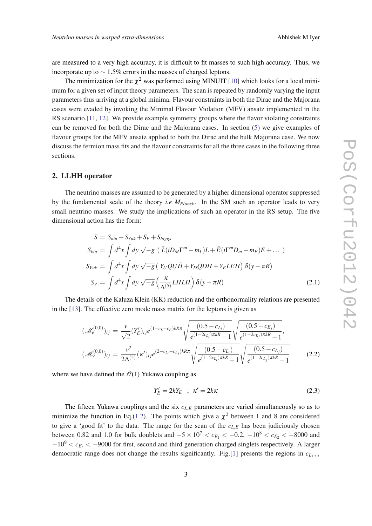are measured to a very high accuracy, it is difficult to fit masses to such high accuracy. Thus, we incorporate up to  $\sim 1.5\%$  errors in the masses of charged leptons.

The minimization for the  $\chi^2$  was performed using MINUIT [[10\]](#page-12-0) which looks for a local minimum for a given set of input theory parameters. The scan is repeated by randomly varying the input parameters thus arriving at a global minima. Flavour constraints in both the Dirac and the Majorana cases were evaded by invoking the Minimal Flavour Violation (MFV) ansatz implemented in the RS scenario.[\[11,](#page-12-0) [12](#page-12-0)]. We provide example symmetry groups where the flavor violating constraints can be removed for both the Dirac and the Majorana cases. In section ([5](#page-10-0)) we give examples of flavour groups for the MFV ansatz applied to both the Dirac and the bulk Majorana case. We now discuss the fermion mass fits and the flavour constraints for all the three cases in the following three sections.

#### 2. LLHH operator

The neutrino masses are assumed to be generated by a higher dimensional operator suppressed by the fundamental scale of the theory *i.e MPlanck*. In the SM such an operator leads to very small neutrino masses. We study the implications of such an operator in the RS setup. The five dimensional action has the form:

$$
S = S_{kin} + S_{Yuk} + S_V + S_{higgs}
$$
  
\n
$$
S_{kin} = \int d^4x \int dy \sqrt{-g} \left( \bar{L}(iD_M \Gamma^m - m_L)L + \bar{E}(i\Gamma^m D_m - m_E)E + \dots \right)
$$
  
\n
$$
S_{Yuk} = \int d^4x \int dy \sqrt{-g} \left( Y_U \bar{Q}U\tilde{H} + Y_D \bar{Q}DH + Y_E\bar{L}EH \right) \delta(y - \pi R)
$$
  
\n
$$
S_V = \int d^4x \int dy \sqrt{-g} \left( \frac{\kappa}{\Lambda^{(5)}} LHLH \right) \delta(y - \pi R)
$$
\n(2.1)

The details of the Kaluza Klein (KK) reduction and the orthonormality relations are presented in the [\[13](#page-12-0)]. The effective zero mode mass matrix for the leptons is given as

$$
(\mathcal{M}_e^{(0,0)})_{ij} = \frac{\nu}{\sqrt{2}} (Y'_E)_{ij} e^{(1-c_L-c_E)kR\pi} \sqrt{\frac{(0.5 - c_{L_i})}{e^{(1-2c_{L_i})\pi kR} - 1}} \sqrt{\frac{(0.5 - c_{E_j})}{e^{(1-2c_{E_j})\pi kR} - 1}},
$$

$$
(\mathcal{M}_\nu^{(0,0)})_{ij} = \frac{\nu^2}{2\Lambda^{(5)}} (\kappa')_{ij} e^{(2-c_{L_i}-c_{L_j})kR\pi} \sqrt{\frac{(0.5 - c_{L_i})}{e^{(1-2c_{L_i})\pi kR} - 1}} \sqrt{\frac{(0.5 - c_{L_j})}{e^{(1-2c_{L_j})\pi kR} - 1}} \tag{2.2}
$$

where we have defined the  $\mathcal{O}(1)$  Yukawa coupling as

$$
Y_E' = 2kY_E \quad ; \quad \kappa' = 2k\kappa \tag{2.3}
$$

The fifteen Yukawa couplings and the six  $c_{L,E}$  parameters are varied simultaneously so as to minimize the function in Eq.[\(1.2\)](#page-1-0). The points which give a  $\chi^2$  between 1 and 8 are considered to give a 'good fit' to the data. The range for the scan of the *cL*,*<sup>E</sup>* has been judiciously chosen between 0.82 and 1.0 for bulk doublets and  $-5 \times 10^7 < c_{E_1} < -0.2$ ,  $-10^8 < c_{E_2} < -8000$  and  $-10^9 < c_{E_3} < -9000$  for first, second and third generation charged singlets respectively. A larger democratic range does not change the results significantly. Fig.[\[1\]](#page-3-0) presents the regions in  $c_{L_{1,2,3}}$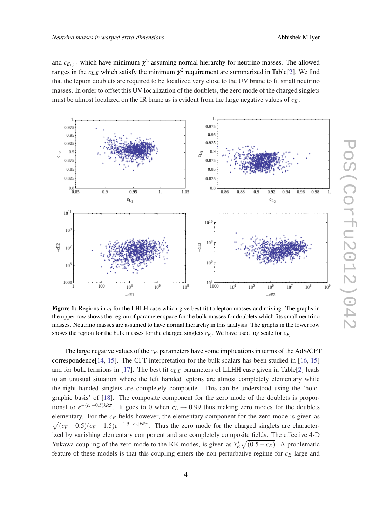<span id="page-3-0"></span>and  $c_{E_{1,2,3}}$  which have minimum  $\chi^2$  assuming normal hierarchy for neutrino masses. The allowed ranges in the  $c_{L,E}$  which satisfy the minimum  $\chi^2$  $\chi^2$  requirement are summarized in Table[2]. We find that the lepton doublets are required to be localized very close to the UV brane to fit small neutrino masses. In order to offset this UV localization of the doublets, the zero mode of the charged singlets must be almost localized on the IR brane as is evident from the large negative values of  $c_{E_i}$ .



Figure 1: Regions in *c<sup>i</sup>* for the LHLH case which give best fit to lepton masses and mixing. The graphs in the upper row shows the region of parameter space for the bulk masses for doublets which fits small neutrino masses. Neutrino masses are assumed to have normal hierarchy in this analysis. The graphs in the lower row shows the region for the bulk masses for the charged singlets  $c_{E_i}$ . We have used log scale for  $c_{E_i}$ 

The large negative values of the *cE<sup>i</sup>* parameters have some implications in terms of the AdS/CFT correspondence[\[14](#page-13-0), [15](#page-13-0)]. The CFT interpretation for the bulk scalars has been studied in [\[16](#page-13-0), [15](#page-13-0)] and for bulk fermions in [[17\]](#page-13-0). The best fit  $c_{L,E}$  parameters of LLHH case given in Table[\[2\]](#page-4-0) leads to an unusual situation where the left handed leptons are almost completely elementary while the right handed singlets are completely composite. This can be understood using the 'holographic basis' of [[18\]](#page-13-0). The composite component for the zero mode of the doublets is proportional to  $e^{-(c_L-0.5)kR\pi}$ . It goes to 0 when  $c_L \to 0.99$  thus making zero modes for the doublets elementary. For the *c<sup>E</sup>* fields however, the elementary component for the zero mode is given as  $\sqrt{(c_E - 0.5)(c_E + 1.5)}e^{-|1.5 + c_E|kR\pi}$ . Thus the zero mode for the charged singlets are characterized by vanishing elementary component and are completely composite fields. The effective 4-D Yukawa coupling of the zero mode to the KK modes, is given as  $Y_E' \sqrt{(0.5 - c_E)}$ . A problematic feature of these models is that this coupling enters the non-perturbative regime for *c<sup>E</sup>* large and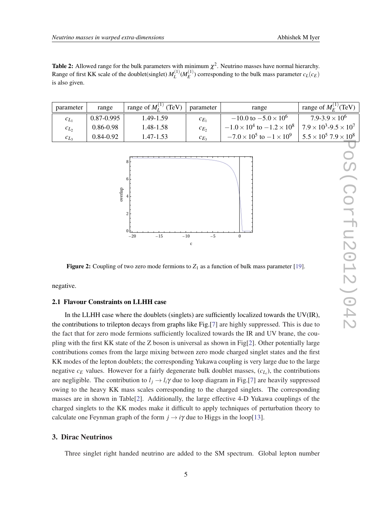<span id="page-4-0"></span>**Table 2:** Allowed range for the bulk parameters with minimum  $\chi^2$ . Neutrino masses have normal hierarchy. Range of first KK scale of the doublet(singlet)  $M_L^{(1)}$  $L^{(1)}(M_E^{(1)})$  $E^{(1)}$ ) corresponding to the bulk mass parameter  $c_L(c_E)$ is also given.

| parameter | range          | range of $M_I^{(1)}$ (TeV) | parameter | range                                    | range of $M_F^{(1)}$ (TeV)           |
|-----------|----------------|----------------------------|-----------|------------------------------------------|--------------------------------------|
| $c_{L_1}$ | $0.87 - 0.995$ | 1.49-1.59                  | $c_{E_1}$ | $-10.0$ to $-5.0 \times 10^6$            | $7.9 - 3.9 \times 10^6$              |
| $c_{L_2}$ | 0.86-0.98      | 1.48-1.58                  | $c_{E_2}$ | $-1.0 \times 10^4$ to $-1.2 \times 10^8$ | $7.9 \times 10^3$ -9.5 $\times 10^7$ |
| $c_{L_3}$ | 0.84-0.92      | 1.47-1.53                  | $c_{E_3}$ | $-7.0 \times 10^5$ to $-1 \times 10^9$   | $5.5 \times 10^5$ 7.9 $\times 10^8$  |



Figure 2: Coupling of two zero mode fermions to  $Z_1$  as a function of bulk mass parameter [\[19\]](#page-13-0).

negative.

## 2.1 Flavour Constraints on LLHH case

In the LLHH case where the doublets (singlets) are sufficiently localized towards the UV(IR), the contributions to trilepton decays from graphs like Fig.[\[7\]](#page-7-0) are highly suppressed. This is due to the fact that for zero mode fermions sufficiently localized towards the IR and UV brane, the coupling with the first KK state of the Z boson is universal as shown in Fig[2]. Other potentially large contributions comes from the large mixing between zero mode charged singlet states and the first KK modes of the lepton doublets; the corresponding Yukawa coupling is very large due to the large negative  $c_E$  values. However for a fairly degenerate bulk doublet masses,  $(c_{L_i})$ , the contributions are negligible. The contribution to  $l_i \rightarrow l_i \gamma$  due to loop diagram in Fig.[\[7\]](#page-7-0) are heavily suppressed owing to the heavy KK mass scales corresponding to the charged singlets. The corresponding masses are in shown in Table[2]. Additionally, the large effective 4-D Yukawa couplings of the charged singlets to the KK modes make it difficult to apply techniques of perturbation theory to calculate one Feynman graph of the form  $j \rightarrow i\gamma$  due to Higgs in the loop[\[13](#page-12-0)].

# 3. Dirac Neutrinos

Three singlet right handed neutrino are added to the SM spectrum. Global lepton number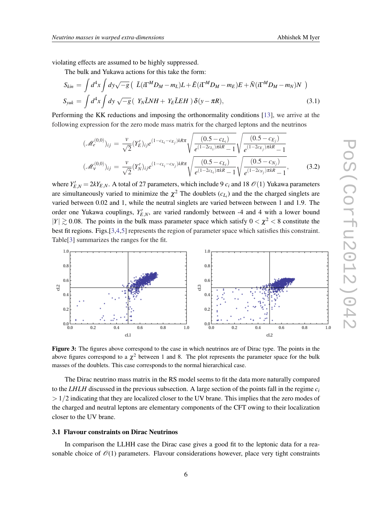violating effects are assumed to be highly suppressed.

The bulk and Yukawa actions for this take the form:

$$
S_{kin} = \int d^4x \int dy \sqrt{-g} \left( \bar{L}(i\Gamma^M D_M - m_L)L + \bar{E}(i\Gamma^M D_M - m_E)E + \bar{N}(i\Gamma^M D_M - m_N)N \right)
$$
  
\n
$$
S_{yuk} = \int d^4x \int dy \sqrt{-g} \left( Y_N \bar{L}NH + Y_E \bar{L}EH \right) \delta(y - \pi R), \qquad (3.1)
$$

Performing the KK reductions and imposing the orthonormality conditions [\[13](#page-12-0)], we arrive at the following expression for the zero mode mass matrix for the charged leptons and the neutrinos

$$
(\mathcal{M}_e^{(0,0)})_{ij} = \frac{\nu}{\sqrt{2}} (Y'_E)_{ij} e^{(1-c_{L_i} - c_{E_j})kR\pi} \sqrt{\frac{(0.5 - c_{L_i})}{e^{(1-2c_{L_i})\pi kR} - 1}} \sqrt{\frac{(0.5 - c_{E_j})}{e^{(1-2c_{E_j})\pi kR} - 1}}
$$

$$
(\mathcal{M}_\nu^{(0,0)})_{ij} = \frac{\nu}{\sqrt{2}} (Y'_N)_{ij} e^{(1-c_{L_i} - c_{N_j})kR\pi} \sqrt{\frac{(0.5 - c_{L_i})}{e^{(1-2c_{L_i})\pi kR} - 1}} \sqrt{\frac{(0.5 - c_{N_j})}{e^{(1-2c_{N_j})\pi kR} - 1}},
$$
(3.2)

where  $Y_{E,N}' = 2kY_{E,N}$ . A total of 27 parameters, which include 9  $c_i$  and 18  $\mathcal{O}(1)$  Yukawa parameters are simultaneously varied to minimize the  $\chi^2$  The doublets  $(c_{L_i})$  and the the charged singlets are varied between 0.02 and 1, while the neutral singlets are varied between between 1 and 1.9. The order one Yukawa couplings,  $Y'_{E,N}$ , are varied randomly between -4 and 4 with a lower bound  $|Y| \gtrsim 0.08$ . The points in the bulk mass parameter space which satisfy  $0 < \chi^2 < 8$  constitute the best fit regions. Figs.[3[,4,5\]](#page-6-0) represents the region of parameter space which satisfies this constraint. Table[[3](#page-6-0)] summarizes the ranges for the fit.



Figure 3: The figures above correspond to the case in which neutrinos are of Dirac type. The points in the above figures correspond to a  $\chi^2$  between 1 and 8. The plot represents the parameter space for the bulk masses of the doublets. This case corresponds to the normal hierarchical case.

The Dirac neutrino mass matrix in the RS model seems to fit the data more naturally compared to the *LHLH* discussed in the previous subsection. A large section of the points fall in the regime  $c_i$  $> 1/2$  indicating that they are localized closer to the UV brane. This implies that the zero modes of the charged and neutral leptons are elementary components of the CFT owing to their localization closer to the UV brane.

### 3.1 Flavour constraints on Dirac Neutrinos

In comparison the LLHH case the Dirac case gives a good fit to the leptonic data for a reasonable choice of  $\mathcal{O}(1)$  parameters. Flavour considerations however, place very tight constraints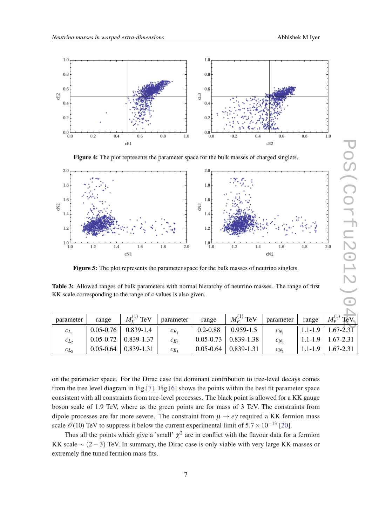<span id="page-6-0"></span>

Figure 4: The plot represents the parameter space for the bulk masses of charged singlets.



Figure 5: The plot represents the parameter space for the bulk masses of neutrino singlets.

Table 3: Allowed ranges of bulk parameters with normal hierarchy of neutrino masses. The range of first KK scale corresponding to the range of c values is also given.

| cE1                                                                                         |                                                                                            |                    |            | cE2                    |                                                                                                         |                 |             |                          |
|---------------------------------------------------------------------------------------------|--------------------------------------------------------------------------------------------|--------------------|------------|------------------------|---------------------------------------------------------------------------------------------------------|-----------------|-------------|--------------------------|
|                                                                                             | Figure 4: The plot represents the parameter space for the bulk masses of charged singlets. |                    |            |                        |                                                                                                         |                 |             |                          |
| 2.0                                                                                         |                                                                                            |                    |            | 2.0                    |                                                                                                         |                 |             |                          |
|                                                                                             |                                                                                            |                    |            |                        |                                                                                                         |                 |             |                          |
| 1.8                                                                                         |                                                                                            |                    |            | 1.8                    |                                                                                                         |                 |             |                          |
| 1.6<br>cN <sub>2</sub>                                                                      |                                                                                            |                    |            | 1.6<br>cN <sub>3</sub> |                                                                                                         |                 |             |                          |
| 1.4                                                                                         |                                                                                            |                    |            | 1.4                    |                                                                                                         |                 |             |                          |
| 1.2                                                                                         |                                                                                            |                    |            | 1.2                    |                                                                                                         |                 |             |                          |
|                                                                                             |                                                                                            |                    |            |                        |                                                                                                         |                 |             |                          |
| $^{1.0\, \rm L}_{\,1.0}$                                                                    | 1.2<br>1.4                                                                                 | 1.6                | 1.8<br>2.0 | 1.0<br>1.0             | 1.2<br>1.4                                                                                              | 1.6             | 1.8         | 2.0                      |
|                                                                                             |                                                                                            | cN1                |            |                        |                                                                                                         | cN <sub>2</sub> |             |                          |
| Figure 5: The plot represents the parameter space for the bulk masses of neutrino singlets. |                                                                                            |                    |            |                        |                                                                                                         |                 |             |                          |
|                                                                                             |                                                                                            |                    |            |                        |                                                                                                         |                 |             |                          |
|                                                                                             |                                                                                            |                    |            |                        | Table 3: Allowed ranges of bulk parameters with normal hierarchy of neutrino masses. The range of first |                 |             |                          |
| KK scale corresponding to the range of c values is also given.                              |                                                                                            |                    |            |                        |                                                                                                         |                 |             |                          |
|                                                                                             |                                                                                            |                    |            |                        |                                                                                                         |                 |             |                          |
| parameter                                                                                   | range                                                                                      | $M_I^{(1)}$<br>TeV | parameter  | range                  | $M_F^{(1)}$ TeV                                                                                         | parameter       | range       | $M_{\rm V}^{(1)}$<br>TeV |
| $c_{L_1}$                                                                                   | $0.05 - 0.76$                                                                              | $0.839 - 1.4$      | $c_{E_1}$  | $0.2 - 0.88$           | $0.959 - 1.5$                                                                                           | $c_{N_1}$       | $1.1 - 1.9$ | $1.67 - 2.31$            |
| $c_{L_2}$                                                                                   | $0.05 - 0.72$                                                                              | 0.839-1.37         | $c_{E_2}$  | $0.05 - 0.73$          | 0.839-1.38                                                                                              | $c_{N_2}$       | $1.1 - 1.9$ | 1.67-2.31                |
| $c_{L_3}$                                                                                   | $0.05 - 0.64$                                                                              | 0.839-1.31         | $c_{E_3}$  | $0.05 - 0.64$          | 0.839-1.31                                                                                              | $c_{N_3}$       | $1.1 - 1.9$ | 1.67-2.31                |

on the parameter space. For the Dirac case the dominant contribution to tree-level decays comes from the tree level diagram in Fig.[\[7\]](#page-7-0). Fig.[\[6\]](#page-7-0) shows the points within the best fit parameter space consistent with all constraints from tree-level processes. The black point is allowed for a KK gauge boson scale of 1.9 TeV, where as the green points are for mass of 3 TeV. The constraints from dipole processes are far more severe. The constraint from  $\mu \to e\gamma$  required a KK fermion mass scale  $\mathcal{O}(10)$  TeV to suppress it below the current experimental limit of  $5.7 \times 10^{-13}$  [\[20](#page-13-0)].

Thus all the points which give a 'small'  $\chi^2$  are in conflict with the flavour data for a fermion KK scale  $\sim$  (2 – 3) TeV. In summary, the Dirac case is only viable with very large KK masses or extremely fine tuned fermion mass fits.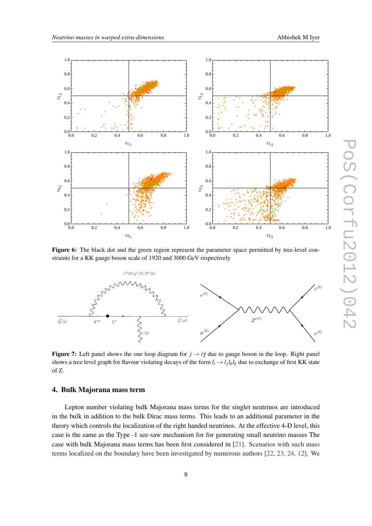<span id="page-7-0"></span>

Figure 6: The black dot and the green region represent the parameter space permitted by tree-level constraints for a KK gauge boson scale of 1920 and 3000 GeV respectively



**Figure 7:** Left panel shows the one loop diagram for  $j \rightarrow i\gamma$  due to gauge boson in the loop. Right panel shows a tree level graph for flavour violating decays of the form  $l_i \to l_j l_k l_k$  due to exchange of first KK state of Z.

## 4. Bulk Majorana mass term

Lepton number violating bulk Majorana mass terms for the singlet neutrinos are introduced in the bulk in addition to the bulk Dirac mass terms. This leads to an additional parameter in the theory which controls the localization of the right handed neutrinos. At the effective 4-D level, this case is the same as the Type -1 see-saw mechanism for for generating small neutrino masses The case with bulk Majorana mass terms has been first considered in [\[21](#page-13-0)]. Scenarios with such mass terms localized on the boundary have been investigated by numerous authors [[22,](#page-13-0) [23](#page-13-0), [24,](#page-13-0) [12](#page-12-0)]. We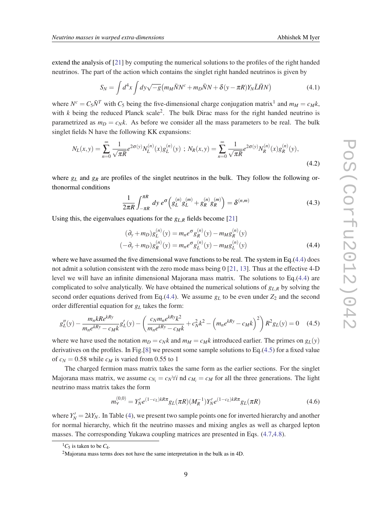<span id="page-8-0"></span>extend the analysis of [[21\]](#page-13-0) by computing the numerical solutions to the profiles of the right handed neutrinos. The part of the action which contains the singlet right handed neutrinos is given by

$$
S_N = \int d^4x \int dy \sqrt{-g} \left( m_M \bar{N}N^c + m_D \bar{N}N + \delta(y - \pi R)Y_N \bar{L}\tilde{H}N \right) \tag{4.1}
$$

where  $N^c = C_5 \bar{N}^T$  with  $C_5$  being the five-dimensional charge conjugation matrix<sup>1</sup> and  $m_M = c_M k$ , with  $k$  being the reduced Planck scale<sup>2</sup>. The bulk Dirac mass for the right handed neutrino is parametrized as  $m_D = c_N k$ . As before we consider all the mass parameters to be real. The bulk singlet fields N have the following KK expansions:

$$
N_L(x,y) = \sum_{n=0}^{\infty} \frac{1}{\sqrt{\pi R}} e^{2\sigma(y)} N_L^{(n)}(x) g_L^{(n)}(y) \; ; \; N_R(x,y) = \sum_{n=0}^{\infty} \frac{1}{\sqrt{\pi R}} e^{2\sigma(y)} N_R^{(n)}(x) g_R^{(n)}(y), \tag{4.2}
$$

where  $g_L$  and  $g_R$  are profiles of the singlet neutrinos in the bulk. They follow the following orthonormal conditions

$$
\frac{1}{2\pi R} \int_{-\pi R}^{\pi R} dy \, e^{\sigma} \left( g_L^{(n)} g_L^{(m)} + g_R^{(n)} g_R^{(m)} \right) = \delta^{(n,m)} \tag{4.3}
$$

Using this, the eigenvalues equations for the *gL*,*<sup>R</sup>* fields become [[21\]](#page-13-0)

$$
(\partial_y + m_D)g_L^{(n)}(y) = m_n e^{\sigma} g_R^{(n)}(y) - m_M g_R^{(n)}(y)
$$
  

$$
(-\partial_y + m_D)g_R^{(n)}(y) = m_n e^{\sigma} g_L^{(n)}(y) - m_M g_L^{(n)}(y)
$$
 (4.4)

where we have assumed the five dimensional wave functions to be real. The system in Eq.(4.4) does not admit a solution consistent with the zero mode mass being 0 [\[21](#page-13-0), [13\]](#page-12-0). Thus at the effective 4-D level we will have an infinite dimensional Majorana mass matrix. The solutions to Eq.(4.4) are complicated to solve analytically. We have obtained the numerical solutions of *gL*,*<sup>R</sup>* by solving the second order equations derived from Eq.(4.4). We assume  $g<sub>L</sub>$  to be even under  $Z<sub>2</sub>$  and the second order differential equation for *g<sup>L</sup>* takes the form:

$$
g_L''(y) - \frac{m_n k R e^{kRy}}{m_n e^{kRy} - c_M k} g_L'(y) - \left(\frac{c_N m_n e^{kRy} k^2}{m_n e^{kRy} - c_M k} + c_N^2 k^2 - \left(m_n e^{kRy} - c_M k\right)^2\right) R^2 g_L(y) = 0 \quad (4.5)
$$

where we have used the notation  $m_D = c_N k$  and  $m_M = c_M k$  introduced earlier. The primes on  $g_L(y)$ derivatives on the profiles. In Fig.[[8](#page-9-0)] we present some sample solutions to Eq.(4.5) for a fixed value of  $c_N = 0.58$  while  $c_M$  is varied from 0.55 to 1

The charged fermion mass matrix takes the same form as the earlier sections. For the singlet Majorana mass matrix, we assume  $c_{N_i} = c_N \forall i$  nd  $c_{M_i} = c_M$  for all the three generations. The light neutrino mass matrix takes the form

$$
m_V^{(0,0)} = Y'_N e^{(1-c_L)kR\pi} g_L(\pi R) (M_R^{-1}) Y'_N e^{(1-c_L)kR\pi} g_L(\pi R)
$$
\n(4.6)

where  $Y_N' = 2kY_N$ . In Table ([4](#page-10-0)), we present two sample points one for inverted hierarchy and another for normal hierarchy, which fit the neutrino masses and mixing angles as well as charged lepton masses. The corresponding Yukawa coupling matrices are presented in Eqs. [\(4.7,4.8](#page-9-0)).

 ${}^{1}C_{5}$  is taken to be  $C_{4}$ .

<sup>2</sup>Majorana mass terms does not have the same interpretation in the bulk as in 4D.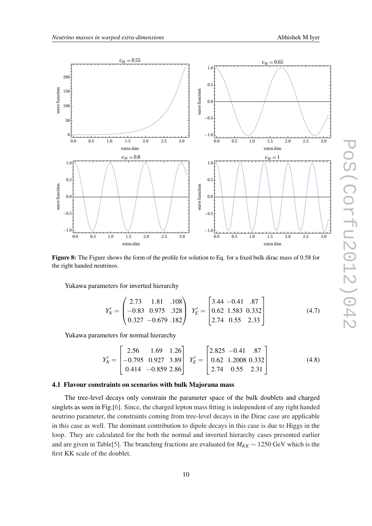<span id="page-9-0"></span>

Figure 8: The Figure shows the form of the profile for solution to Eq. for a fixed bulk dirac mass of 0.58 for the right handed neutrinos.

Yukawa parameters for inverted hierarchy

$$
Y'_{N} = \begin{pmatrix} 2.73 & 1.81 & .108 \\ -0.83 & 0.975 & .328 \\ 0.327 & -0.679 & .182 \end{pmatrix} Y'_{E} = \begin{bmatrix} 3.44 & -0.41 & .87 \\ 0.62 & 1.583 & 0.332 \\ 2.74 & 0.55 & 2.33 \end{bmatrix}
$$
(4.7)

Yukawa parameters for normal hierarchy

$$
Y'_{N} = \begin{bmatrix} 2.56 & 1.69 & 1.26 \\ -0.795 & 0.927 & 3.89 \\ 0.414 & -0.859 & 2.86 \end{bmatrix} Y'_{E} = \begin{bmatrix} 2.825 & -0.41 & .87 \\ 0.62 & 1.2008 & 0.332 \\ 2.74 & 0.55 & 2.31 \end{bmatrix}
$$
(4.8)

### 4.1 Flavour constraints on scenarios with bulk Majorana mass

The tree-level decays only constrain the parameter space of the bulk doublets and charged singlets as seen in Fig.[[6](#page-7-0)]. Since, the charged lepton mass fitting is independent of any right handed neutrino parameter, the constraints coming from tree-level decays in the Dirac case are applicable in this case as well. The dominant contribution to dipole decays in this case is due to Higgs in the loop. They are calculated for the both the normal and inverted hierarchy cases presented earlier and are given in Table[\[5\]](#page-10-0). The branching fractions are evaluated for  $M_{KK} \sim 1250$  GeV which is the first KK scale of the doublet.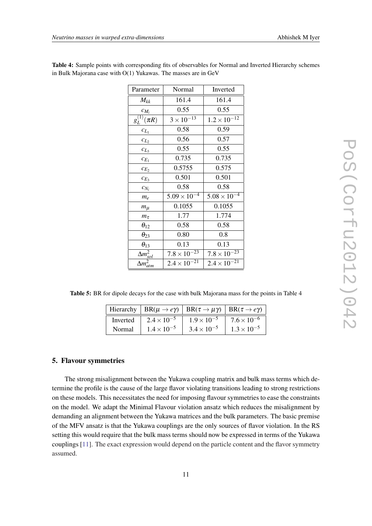| Parameter                     | Normal                | Inverted              |  |
|-------------------------------|-----------------------|-----------------------|--|
| $M_{kk}$                      | 161.4                 | 161.4                 |  |
| $c_{M_i}$                     | 0.55                  | 0.55                  |  |
| $g_L^{(1)}(\pi R)$            | $3 \times 10^{-13}$   | $1.2 \times 10^{-12}$ |  |
| $c_{L_1}$                     | 0.58                  | 0.59                  |  |
| $c_{L_2}$                     | 0.56                  | 0.57                  |  |
| $c_{L_3}$                     | 0.55                  | 0.55                  |  |
| $c_{E_1}$                     | 0.735                 | 0.735                 |  |
| $c_{E_2}$                     | 0.5755                | 0.575                 |  |
| $c_{E_3}$                     | 0.501                 | 0.501                 |  |
| $c_{N_i}$                     | 0.58                  | 0.58                  |  |
| $m_e$                         | $5.09 \times 10^{-4}$ | $5.08 \times 10^{-4}$ |  |
| $m\mu$                        | 0.1055                | 0.1055                |  |
| $m_{\tau}$                    | 1.77                  | 1.774                 |  |
| $\theta_{12}$                 | 0.58                  | 0.58                  |  |
| $\theta_{23}$                 | 0.80                  | 0.8                   |  |
| $\theta_{13}$                 | 0.13                  | 0.13                  |  |
| $\overline{\Delta m}^2_{sol}$ | $7.8 \times 10^{-23}$ | $7.8 \times 10^{-23}$ |  |
| $\overline{\Delta}m_{atm}^2$  | $2.4 \times 10^{-21}$ | $2.4 \times 10^{-21}$ |  |

<span id="page-10-0"></span>Table 4: Sample points with corresponding fits of observables for Normal and Inverted Hierarchy schemes in Bulk Majorana case with O(1) Yukawas. The masses are in GeV

Table 5: BR for dipole decays for the case with bulk Majorana mass for the points in Table 4

|          |                      | Hierarchy   BR( $\mu \rightarrow e \gamma$ )   BR( $\tau \rightarrow \mu \gamma$ )   BR( $\tau \rightarrow e \gamma$ ) |                      |
|----------|----------------------|------------------------------------------------------------------------------------------------------------------------|----------------------|
| Inverted | $2.4 \times 10^{-5}$ | $1.9 \times 10^{-5}$                                                                                                   | $7.6 \times 10^{-6}$ |
| Normal   | $1.4 \times 10^{-5}$ | $3.4 \times 10^{-5}$                                                                                                   | $1.3 \times 10^{-5}$ |

# 5. Flavour symmetries

The strong misalignment between the Yukawa coupling matrix and bulk mass terms which determine the profile is the cause of the large flavor violating transitions leading to strong restrictions on these models. This necessitates the need for imposing flavour symmetries to ease the constraints on the model. We adapt the Minimal Flavour violation ansatz which reduces the misalignment by demanding an alignment between the Yukawa matrices and the bulk parameters. The basic premise of the MFV ansatz is that the Yukawa couplings are the only sources of flavor violation. In the RS setting this would require that the bulk mass terms should now be expressed in terms of the Yukawa couplings [[11\]](#page-12-0). The exact expression would depend on the particle content and the flavor symmetry assumed.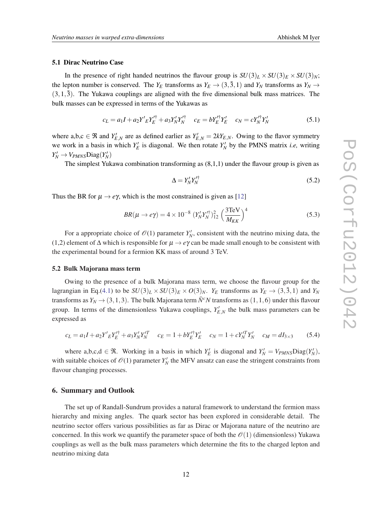#### 5.1 Dirac Neutrino Case

In the presence of right handed neutrinos the flavour group is  $SU(3)_L \times SU(3)_E \times SU(3)_N$ ; the lepton number is conserved. The  $Y_E$  transforms as  $Y_E \rightarrow (3, \bar{3}, 1)$  and  $Y_N$  transforms as  $Y_N \rightarrow$  $(3,1,\overline{3})$ . The Yukawa couplings are aligned with the five dimensional bulk mass matrices. The bulk masses can be expressed in terms of the Yukawas as

$$
c_L = a_1 I + a_2 Y'{}_E Y'^\dagger_L + a_3 Y'_N Y'^\dagger_N \qquad c_E = b Y'^\dagger_E Y'_E \qquad c_N = c Y'^\dagger_N Y'_N \tag{5.1}
$$

where a,b,c  $\in \mathfrak{R}$  and  $Y_{E,N}^{\prime}$  are as defined earlier as  $Y_{E,N}^{\prime} = 2kY_{E,N}$ . Owing to the flavor symmetry we work in a basis in which  $Y'_E$  is diagonal. We then rotate  $Y'_N$  by the PMNS matrix *i.e*, writing  $Y_N' \to V_{PMNS}$ Diag $(Y_N')$ 

The simplest Yukawa combination transforming as (8,1,1) under the flavour group is given as

$$
\Delta = Y_N' Y_N'^\dagger \tag{5.2}
$$

Thus the BR for  $\mu \rightarrow e\gamma$ , which is the most constrained is given as [[12\]](#page-12-0)

$$
BR(\mu \to e\gamma) = 4 \times 10^{-8} \left( Y_N' Y_N'^\dagger \right)_{12}^2 \left( \frac{3 \text{TeV}}{M_{KK}} \right)^4 \tag{5.3}
$$

For a appropriate choice of  $\mathcal{O}(1)$  parameter  $Y_N'$ , consistent with the neutrino mixing data, the (1,2) element of ∆ which is responsible for µ → *e*γ can be made small enough to be consistent with the experimental bound for a fermion KK mass of around 3 TeV.

#### 5.2 Bulk Majorana mass term

Owing to the presence of a bulk Majorana mass term, we choose the flavour group for the lagrangian in Eq.([4.1](#page-8-0)) to be  $SU(3)_L \times SU(3)_E \times O(3)_N$ .  $Y_E$  transforms as  $Y_E \rightarrow (3, \overline{3}, 1)$  and  $Y_N$ transforms as  $Y_N \to (3,1,3)$ . The bulk Majorana term  $\bar{N}^c N$  transforms as  $(1,1,6)$  under this flavour group. In terms of the dimensionless Yukawa couplings,  $Y_{E,N}$  the bulk mass parameters can be expressed as

$$
c_L = a_1 I + a_2 Y'_E Y'_E + a_3 Y'_N Y'_N \t c_E = 1 + b Y'_E Y'_E \t c_N = 1 + c Y'_N Y'_N \t c_M = dI_{3 \times 3}
$$
 (5.4)

where a,b,c,d  $\in \mathcal{R}$ . Working in a basis in which  $Y'_E$  is diagonal and  $Y'_N = V_{PMNS} \text{Diag}(Y'_N)$ , with suitable choices of  $\mathcal{O}(1)$  parameter  $Y_N'$  the MFV ansatz can ease the stringent constraints from flavour changing processes.

#### 6. Summary and Outlook

The set up of Randall-Sundrum provides a natural framework to understand the fermion mass hierarchy and mixing angles. The quark sector has been explored in considerable detail. The neutrino sector offers various possibilities as far as Dirac or Majorana nature of the neutrino are concerned. In this work we quantify the parameter space of both the  $\mathcal{O}(1)$  (dimensionless) Yukawa couplings as well as the bulk mass parameters which determine the fits to the charged lepton and neutrino mixing data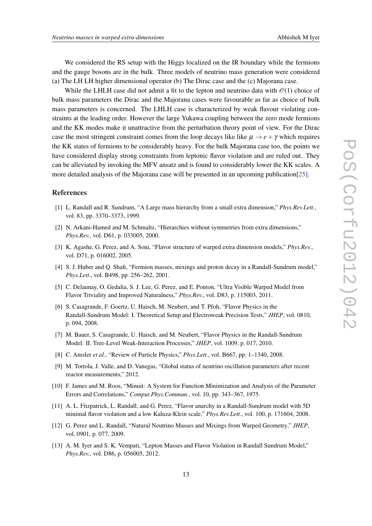<span id="page-12-0"></span>We considered the RS setup with the Higgs localized on the IR boundary while the fermions and the gauge bosons are in the bulk. Three models of neutrino mass generation were considered (a) The LH LH higher dimensional operator (b) The Dirac case and the (c) Majorana case.

While the LHLH case did not admit a fit to the lepton and neutrino data with  $\mathcal{O}(1)$  choice of bulk mass parameters the Dirac and the Majorana cases were favourable as far as choice of bulk mass parameters is concerned. The LHLH case is characterized by weak flavour violating constraints at the leading order. However the large Yukawa coupling between the zero mode fermions and the KK modes make it unattractive from the perturbation theory point of view. For the Dirac case the most stringent constraint comes from the loop decays like like  $\mu \rightarrow e + \gamma$  which requires the KK states of fermions to be considerably heavy. For the bulk Majorana case too, the points we have considered display strong constraints from leptonic flavor violation and are ruled out. They can be alleviated by invoking the MFV ansatz and is found to considerably lower the KK scales. A more detailed analysis of the Majorana case will be presented in an upcoming publication[\[25](#page-13-0)].

#### References

- [1] L. Randall and R. Sundrum, "A Large mass hierarchy from a small extra dimension," *Phys.Rev.Lett.*, vol. 83, pp. 3370–3373, 1999.
- [2] N. Arkani-Hamed and M. Schmaltz, "Hierarchies without symmetries from extra dimensions," *Phys.Rev.*, vol. D61, p. 033005, 2000.
- [3] K. Agashe, G. Perez, and A. Soni, "Flavor structure of warped extra dimension models," *Phys.Rev.*, vol. D71, p. 016002, 2005.
- [4] S. J. Huber and Q. Shafi, "Fermion masses, mixings and proton decay in a Randall-Sundrum model," *Phys.Lett.*, vol. B498, pp. 256–262, 2001.
- [5] C. Delaunay, O. Gedalia, S. J. Lee, G. Perez, and E. Ponton, "Ultra Visible Warped Model from Flavor Triviality and Improved Naturalness," *Phys.Rev.*, vol. D83, p. 115003, 2011.
- [6] S. Casagrande, F. Goertz, U. Haisch, M. Neubert, and T. Pfoh, "Flavor Physics in the Randall-Sundrum Model: I. Theoretical Setup and Electroweak Precision Tests," *JHEP*, vol. 0810, p. 094, 2008.
- [7] M. Bauer, S. Casagrande, U. Haisch, and M. Neubert, "Flavor Physics in the Randall-Sundrum Model: II. Tree-Level Weak-Interaction Processes," *JHEP*, vol. 1009, p. 017, 2010.
- [8] C. Amsler *et al.*, "Review of Particle Physics," *Phys.Lett.*, vol. B667, pp. 1–1340, 2008.
- [9] M. Tortola, J. Valle, and D. Vanegas, "Global status of neutrino oscillation parameters after recent reactor measurements," 2012.
- [10] F. James and M. Roos, "Minuit: A System for Function Minimization and Analysis of the Parameter Errors and Correlations," *Comput.Phys.Commun.*, vol. 10, pp. 343–367, 1975.
- [11] A. L. Fitzpatrick, L. Randall, and G. Perez, "Flavor anarchy in a Randall-Sundrum model with 5D minimal flavor violation and a low Kaluza-Klein scale," *Phys.Rev.Lett.*, vol. 100, p. 171604, 2008.
- [12] G. Perez and L. Randall, "Natural Neutrino Masses and Mixings from Warped Geometry," *JHEP*, vol. 0901, p. 077, 2009.
- [13] A. M. Iyer and S. K. Vempati, "Lepton Masses and Flavor Violation in Randall Sundrum Model," *Phys.Rev.*, vol. D86, p. 056005, 2012.